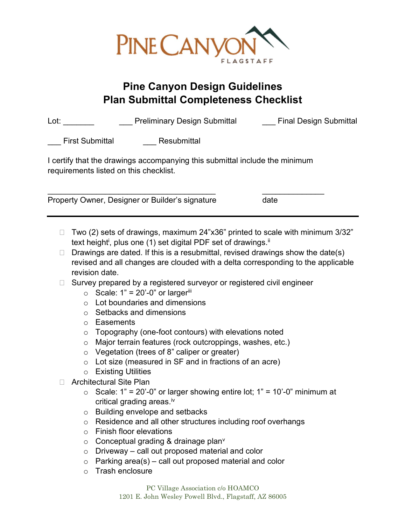

## Pine Canyon Design Guidelines Plan Submittal Completeness Checklist

| Lot: | <b>Preliminary Design Submittal</b> | <b>Final Design Submittal</b> |
|------|-------------------------------------|-------------------------------|
|      |                                     |                               |

First Submittal **Resubmittal** 

I certify that the drawings accompanying this submittal include the minimum requirements listed on this checklist.

 $\overline{\phantom{a}}$  , and the contribution of the contribution of  $\overline{\phantom{a}}$  , and the contribution of  $\overline{\phantom{a}}$ 

Property Owner, Designer or Builder's signature date

- $\Box$  Two (2) sets of drawings, maximum 24"x36" printed to scale with minimum 3/32" text height<sup>i</sup>, plus one (1) set digital PDF set of drawings.<sup>ii</sup>
- $\Box$  Drawings are dated. If this is a resubmittal, revised drawings show the date(s) revised and all changes are clouded with a delta corresponding to the applicable revision date.
- $\Box$  Survey prepared by a registered surveyor or registered civil engineer
	- $\circ$  Scale: 1" = 20'-0" or larger<sup>iii</sup>
	- $\circ$  Lot boundaries and dimensions
	- o Setbacks and dimensions
	- o Easements
	- $\circ$  Topography (one-foot contours) with elevations noted
	- o Major terrain features (rock outcroppings, washes, etc.)
	- o Vegetation (trees of 8" caliper or greater)
	- $\circ$  Lot size (measured in SF and in fractions of an acre)
	- o Existing Utilities
- □ Architectural Site Plan
	- $\circ$  Scale: 1" = 20'-0" or larger showing entire lot; 1" = 10'-0" minimum at critical grading areas.<sup>iv</sup>
	- o Building envelope and setbacks
	- o Residence and all other structures including roof overhangs
	- o Finish floor elevations
	- $\circ$  Conceptual grading & drainage plan<sup>v</sup>
	- $\circ$  Driveway call out proposed material and color
	- $\circ$  Parking area(s) call out proposed material and color
	- o Trash enclosure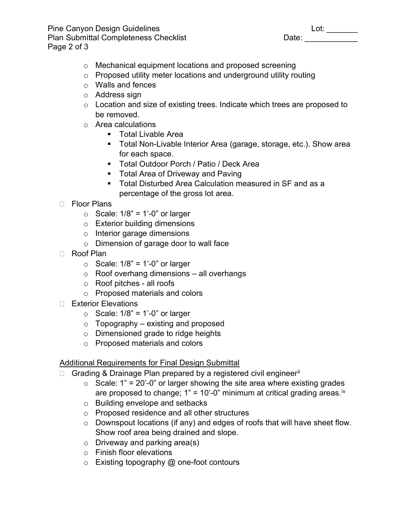Pine Canyon Design Guidelines Lot: \_\_\_\_\_\_\_ Plan Submittal Completeness Checklist Page 2 of 3

- o Mechanical equipment locations and proposed screening
- o Proposed utility meter locations and underground utility routing
- o Walls and fences
- o Address sign
- o Location and size of existing trees. Indicate which trees are proposed to be removed.
- o Area calculations
	- **Total Livable Area**
	- **Total Non-Livable Interior Area (garage, storage, etc.). Show area** for each space.
	- **Total Outdoor Porch / Patio / Deck Area**
	- **Total Area of Driveway and Paving**
	- Total Disturbed Area Calculation measured in SF and as a percentage of the gross lot area.
- □ Floor Plans
	- $\circ$  Scale: 1/8" = 1'-0" or larger
	- o Exterior building dimensions
	- o Interior garage dimensions
	- o Dimension of garage door to wall face
- Roof Plan
	- $\circ$  Scale: 1/8" = 1'-0" or larger
	- $\circ$  Roof overhang dimensions all overhangs
	- o Roof pitches all roofs
	- o Proposed materials and colors
- □ Exterior Elevations
	- $\circ$  Scale: 1/8" = 1'-0" or larger
	- $\circ$  Topography existing and proposed
	- o Dimensioned grade to ridge heights
	- o Proposed materials and colors

## **Additional Requirements for Final Design Submittal**

- $\Box$  Grading & Drainage Plan prepared by a registered civil engineer<sup>ii</sup>
	- $\circ$  Scale: 1" = 20'-0" or larger showing the site area where existing grades are proposed to change;  $1" = 10'$ -0" minimum at critical grading areas.<sup>iv</sup>
	- o Building envelope and setbacks
	- o Proposed residence and all other structures
	- o Downspout locations (if any) and edges of roofs that will have sheet flow. Show roof area being drained and slope.
	- $\circ$  Driveway and parking area(s)
	- o Finish floor elevations
	- $\circ$  Existing topography  $@$  one-foot contours